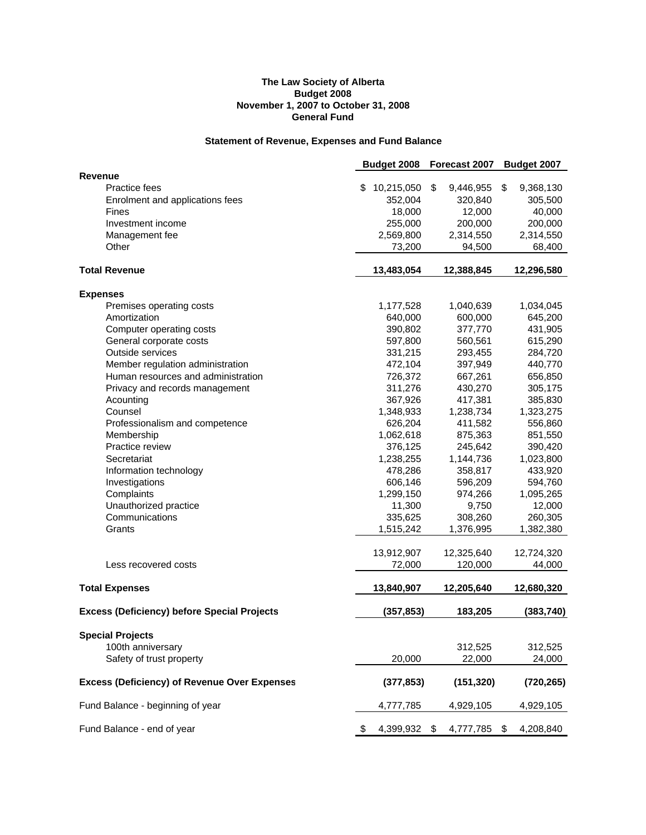#### **The Law Society of Alberta Budget 2008 November 1, 2007 to October 31, 2008 General Fund**

# **Statement of Revenue, Expenses and Fund Balance**

|                                                     | Budget 2008          | Forecast 2007         | Budget 2007          |
|-----------------------------------------------------|----------------------|-----------------------|----------------------|
| <b>Revenue</b>                                      |                      |                       |                      |
| <b>Practice fees</b>                                | \$<br>10,215,050     | \$<br>9,446,955       | \$<br>9,368,130      |
| Enrolment and applications fees                     | 352,004              | 320,840               | 305,500              |
| Fines                                               | 18,000               | 12,000                | 40,000               |
| Investment income                                   | 255,000              | 200,000               | 200,000              |
| Management fee                                      | 2,569,800            | 2,314,550             | 2,314,550            |
| Other                                               | 73,200               | 94,500                | 68,400               |
| <b>Total Revenue</b>                                | 13,483,054           | 12,388,845            | 12,296,580           |
| <b>Expenses</b>                                     |                      |                       |                      |
| Premises operating costs                            | 1,177,528            | 1,040,639             | 1,034,045            |
| Amortization                                        | 640,000              | 600,000               | 645,200              |
| Computer operating costs                            | 390,802              | 377,770               | 431,905              |
| General corporate costs                             | 597,800              | 560,561               | 615,290              |
| Outside services                                    | 331,215              | 293,455               | 284,720              |
| Member regulation administration                    | 472,104              | 397,949               | 440,770              |
| Human resources and administration                  | 726,372              | 667,261               | 656,850              |
| Privacy and records management                      | 311,276              | 430,270               | 305,175              |
| Acounting                                           | 367,926              | 417,381               | 385,830              |
| Counsel                                             | 1,348,933            | 1,238,734             | 1,323,275            |
| Professionalism and competence                      | 626,204              | 411,582               | 556,860              |
| Membership                                          | 1,062,618            | 875,363               | 851,550              |
| Practice review                                     | 376,125              | 245,642               | 390,420              |
| Secretariat                                         | 1,238,255            | 1,144,736             | 1,023,800            |
| Information technology                              | 478,286              | 358,817               | 433,920              |
| Investigations                                      | 606,146              | 596,209               | 594,760              |
| Complaints                                          | 1,299,150            | 974,266               | 1,095,265            |
| Unauthorized practice                               | 11,300               | 9,750                 | 12,000               |
| Communications                                      | 335,625              | 308,260               | 260,305              |
| Grants                                              | 1,515,242            | 1,376,995             | 1,382,380            |
|                                                     |                      |                       |                      |
| Less recovered costs                                | 13,912,907<br>72,000 | 12,325,640<br>120,000 | 12,724,320<br>44,000 |
| <b>Total Expenses</b>                               | 13,840,907           | 12,205,640            | 12,680,320           |
|                                                     |                      |                       |                      |
| <b>Excess (Deficiency) before Special Projects</b>  | (357, 853)           | 183,205               | (383, 740)           |
| <b>Special Projects</b>                             |                      |                       |                      |
| 100th anniversary                                   |                      | 312,525               | 312,525              |
| Safety of trust property                            | 20,000               | 22,000                | 24,000               |
| <b>Excess (Deficiency) of Revenue Over Expenses</b> | (377, 853)           | (151, 320)            | (720, 265)           |
| Fund Balance - beginning of year                    | 4,777,785            | 4,929,105             | 4,929,105            |
| Fund Balance - end of year                          | 4,399,932 \$<br>P.   | 4,777,785             | -\$<br>4,208,840     |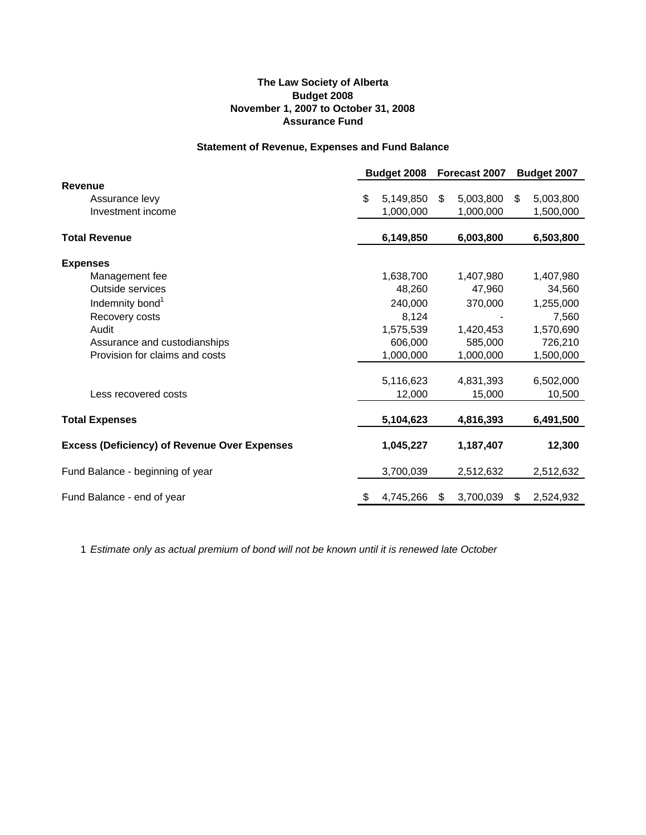### **The Law Society of Alberta Budget 2008 November 1, 2007 to October 31, 2008 Assurance Fund**

#### **Statement of Revenue, Expenses and Fund Balance**

|                                                     | Budget 2008 |           | Forecast 2007 |           | Budget 2007 |           |
|-----------------------------------------------------|-------------|-----------|---------------|-----------|-------------|-----------|
| Revenue                                             |             |           |               |           |             |           |
| Assurance levy                                      | \$          | 5,149,850 | \$            | 5,003,800 | \$          | 5,003,800 |
| Investment income                                   |             | 1,000,000 |               | 1,000,000 |             | 1,500,000 |
| <b>Total Revenue</b>                                |             | 6,149,850 |               | 6,003,800 |             | 6,503,800 |
| <b>Expenses</b>                                     |             |           |               |           |             |           |
| Management fee                                      |             | 1,638,700 |               | 1,407,980 |             | 1,407,980 |
| <b>Outside services</b>                             |             | 48,260    |               | 47,960    |             | 34,560    |
| Indemnity bond <sup>1</sup>                         |             | 240,000   |               | 370,000   |             | 1,255,000 |
| Recovery costs                                      |             | 8,124     |               |           |             | 7,560     |
| Audit                                               |             | 1,575,539 |               | 1,420,453 |             | 1,570,690 |
| Assurance and custodianships                        |             | 606,000   |               | 585,000   |             | 726,210   |
| Provision for claims and costs                      |             | 1,000,000 |               | 1,000,000 |             | 1,500,000 |
|                                                     |             | 5,116,623 |               | 4,831,393 |             | 6,502,000 |
| Less recovered costs                                |             | 12,000    |               | 15,000    |             | 10,500    |
| <b>Total Expenses</b>                               |             | 5,104,623 |               | 4,816,393 |             | 6,491,500 |
| <b>Excess (Deficiency) of Revenue Over Expenses</b> |             | 1,045,227 |               | 1,187,407 |             | 12,300    |
| Fund Balance - beginning of year                    |             | 3,700,039 |               | 2,512,632 |             | 2,512,632 |
| Fund Balance - end of year                          | \$          | 4,745,266 | \$            | 3,700,039 | \$          | 2,524,932 |

1 *Estimate only as actual premium of bond will not be known until it is renewed late October*